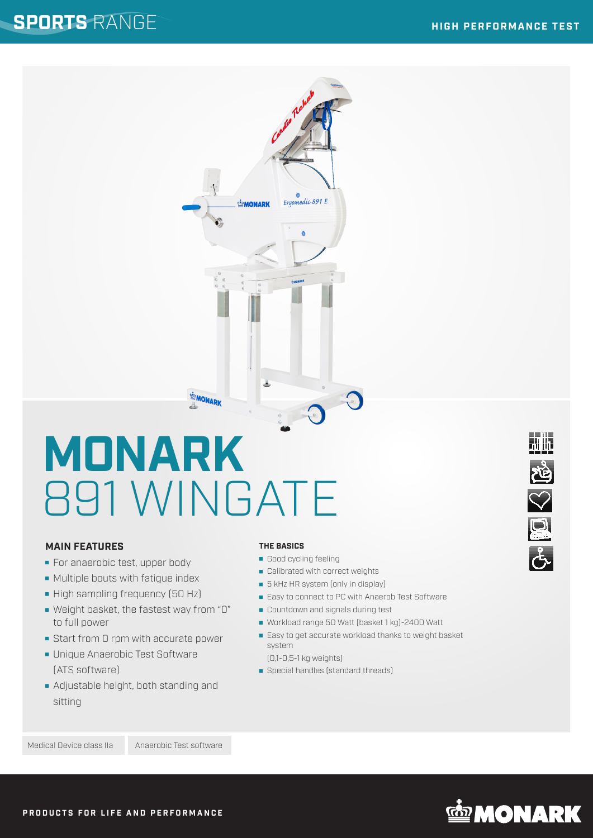

# **MONARK** 891 WINGATE

## **MAIN FEATURES**

- For anaerobic test, upper body
- **Multiple bouts with fatigue index**
- High sampling frequency (50 Hz)
- Weight basket, the fastest way from "0" to full power
- Start from 0 rpm with accurate power
- **Unique Anaerobic Test Software** (ATS software)
- **Adjustable height, both standing and** sitting

#### **THE BASICS**

- Good cycling feeling
- Calibrated with correct weights
- **5** kHz HR system (only in display)
- Easy to connect to PC with Anaerob Test Software
- **Countdown and signals during test**
- Workload range 50 Watt (basket 1 kg)-2400 Watt
- Easy to get accurate workload thanks to weight basket system

(0,1-0,5-1 kg weights)

Special handles (standard threads)



Medical Device class IIa Anaerobic Test software